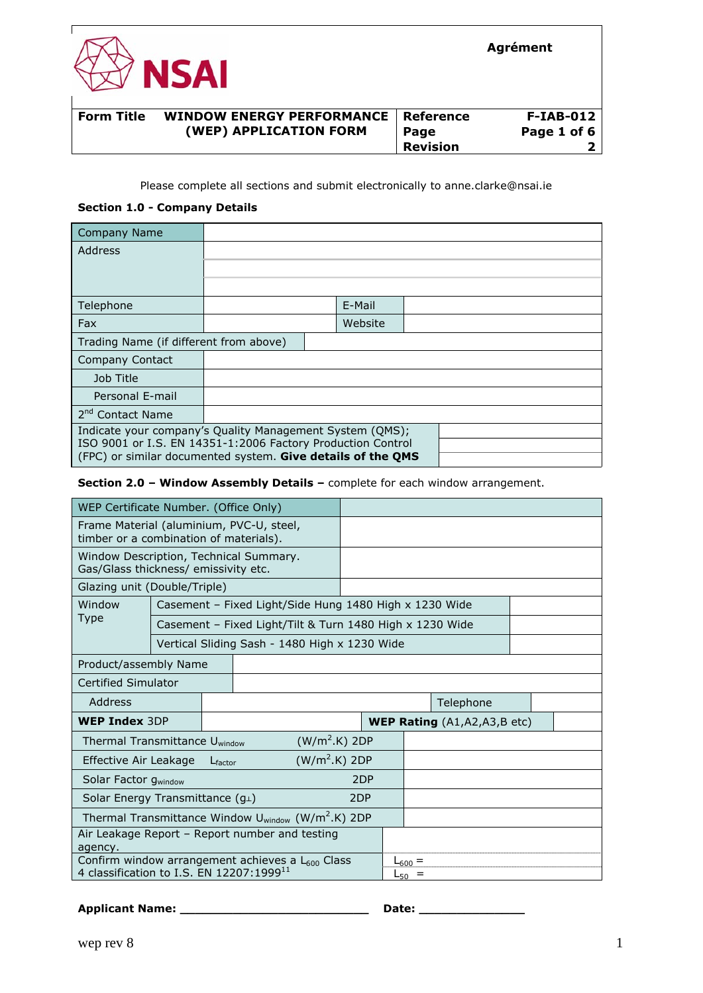

#### **Form Title WINDOW ENERGY PERFORMANCE (WEP) APPLICATION FORM Page Page 1 of 6 Reference F-IAB-012 Revision 2**

#### Please complete all sections and submit electronically to anne.clarke@nsai.ie

#### **Section 1.0 - Company Details**

| <b>Company Name</b>                                                                                                        |  |  |         |  |  |  |  |  |
|----------------------------------------------------------------------------------------------------------------------------|--|--|---------|--|--|--|--|--|
| Address                                                                                                                    |  |  |         |  |  |  |  |  |
|                                                                                                                            |  |  |         |  |  |  |  |  |
|                                                                                                                            |  |  |         |  |  |  |  |  |
| Telephone                                                                                                                  |  |  | E-Mail  |  |  |  |  |  |
| Fax                                                                                                                        |  |  | Website |  |  |  |  |  |
| Trading Name (if different from above)                                                                                     |  |  |         |  |  |  |  |  |
| Company Contact                                                                                                            |  |  |         |  |  |  |  |  |
| Job Title                                                                                                                  |  |  |         |  |  |  |  |  |
| Personal E-mail                                                                                                            |  |  |         |  |  |  |  |  |
| 2 <sup>nd</sup> Contact Name                                                                                               |  |  |         |  |  |  |  |  |
| Indicate your company's Quality Management System (QMS);                                                                   |  |  |         |  |  |  |  |  |
| ISO 9001 or I.S. EN 14351-1:2006 Factory Production Control<br>(FPC) or similar documented system. Give details of the QMS |  |  |         |  |  |  |  |  |

#### **Section 2.0 – Window Assembly Details –** complete for each window arrangement.

| WEP Certificate Number. (Office Only)                                              |  |                                                          |                                               |     |  |             |  |  |  |
|------------------------------------------------------------------------------------|--|----------------------------------------------------------|-----------------------------------------------|-----|--|-------------|--|--|--|
| Frame Material (aluminium, PVC-U, steel,<br>timber or a combination of materials). |  |                                                          |                                               |     |  |             |  |  |  |
| Window Description, Technical Summary.<br>Gas/Glass thickness/ emissivity etc.     |  |                                                          |                                               |     |  |             |  |  |  |
| Glazing unit (Double/Triple)                                                       |  |                                                          |                                               |     |  |             |  |  |  |
| Window<br>Casement - Fixed Light/Side Hung 1480 High x 1230 Wide                   |  |                                                          |                                               |     |  |             |  |  |  |
| Type                                                                               |  | Casement - Fixed Light/Tilt & Turn 1480 High x 1230 Wide |                                               |     |  |             |  |  |  |
|                                                                                    |  |                                                          | Vertical Sliding Sash - 1480 High x 1230 Wide |     |  |             |  |  |  |
| Product/assembly Name                                                              |  |                                                          |                                               |     |  |             |  |  |  |
| Certified Simulator                                                                |  |                                                          |                                               |     |  |             |  |  |  |
| Address                                                                            |  |                                                          | Telephone                                     |     |  |             |  |  |  |
| <b>WEP Index 3DP</b>                                                               |  |                                                          | <b>WEP Rating</b> $(A1, A2, A3, B$ etc)       |     |  |             |  |  |  |
| (W/m <sup>2</sup> .K) 2DP<br>Thermal Transmittance U <sub>window</sub>             |  |                                                          |                                               |     |  |             |  |  |  |
| $(W/m2.K)$ 2DP<br>Effective Air Leakage<br>$L_{\text{factor}}$                     |  |                                                          |                                               |     |  |             |  |  |  |
| Solar Factor gwindow                                                               |  |                                                          |                                               | 2DP |  |             |  |  |  |
| Solar Energy Transmittance $(g_{\perp})$                                           |  |                                                          |                                               | 2DP |  |             |  |  |  |
| Thermal Transmittance Window U <sub>window</sub> (W/m <sup>2</sup> .K) 2DP         |  |                                                          |                                               |     |  |             |  |  |  |
| Air Leakage Report – Report number and testing<br>agency.                          |  |                                                          |                                               |     |  |             |  |  |  |
| Confirm window arrangement achieves a L600 Class                                   |  |                                                          |                                               |     |  | $L_{600} =$ |  |  |  |
| 4 classification to I.S. EN 12207:1999 <sup>11</sup>                               |  |                                                          |                                               |     |  | $L_{50}$ =  |  |  |  |

## **Applicant Name: \_\_\_\_\_\_\_\_\_\_\_\_\_\_\_\_\_\_\_\_\_\_\_\_\_ Date: \_\_\_\_\_\_\_\_\_\_\_\_\_\_**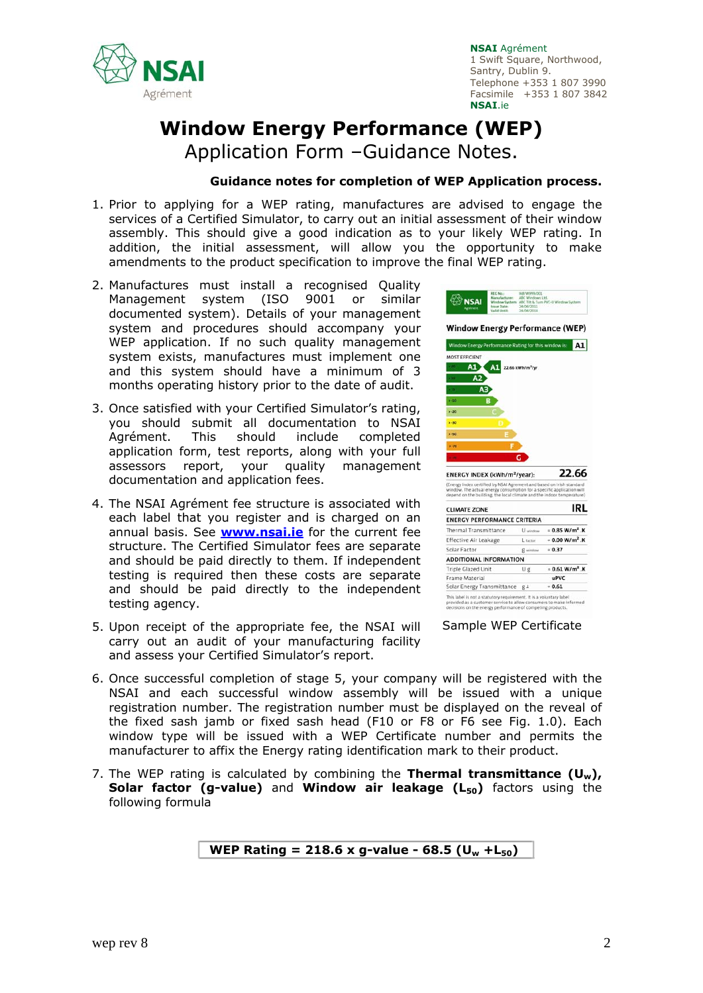

# **Window Energy Performance (WEP)**

Application Form –Guidance Notes.

#### **Guidance notes for completion of WEP Application process.**

- 1. Prior to applying for a WEP rating, manufactures are advised to engage the services of a Certified Simulator, to carry out an initial assessment of their window assembly. This should give a good indication as to your likely WEP rating. In addition, the initial assessment, will allow you the opportunity to make amendments to the product specification to improve the final WEP rating.
- 2. Manufactures must install a recognised Quality Management system (ISO 9001 or similar documented system). Details of your management system and procedures should accompany your WEP application. If no such quality management system exists, manufactures must implement one and this system should have a minimum of 3 months operating history prior to the date of audit.
- 3. Once satisfied with your Certified Simulator's rating, you should submit all documentation to NSAI Agrément. This should include completed application form, test reports, along with your full assessors report, your quality management documentation and application fees.
- 4. The NSAI Agrément fee structure is associated with each label that you register and is charged on an annual basis. See **www.nsai.ie** for the current fee structure. The Certified Simulator fees are separate and should be paid directly to them. If independent testing is required then these costs are separate and should be paid directly to the independent testing agency.
- 5. Upon receipt of the appropriate fee, the NSAI will carry out an audit of your manufacturing facility and assess your Certified Simulator's report.



6. Once successful completion of stage 5, your company will be registered with the NSAI and each successful window assembly will be issued with a unique registration number. The registration number must be displayed on the reveal of the fixed sash jamb or fixed sash head (F10 or F8 or F6 see Fig. 1.0). Each window type will be issued with a WEP Certificate number and permits the

7. The WEP rating is calculated by combining the **Thermal transmittance (Uw), Solar factor (g-value) and Window air leakage (L<sub>50</sub>) factors using the** following formula

manufacturer to affix the Energy rating identification mark to their product.

**WEP Rating = 218.6 x g-value - 68.5 (Uw +L50)**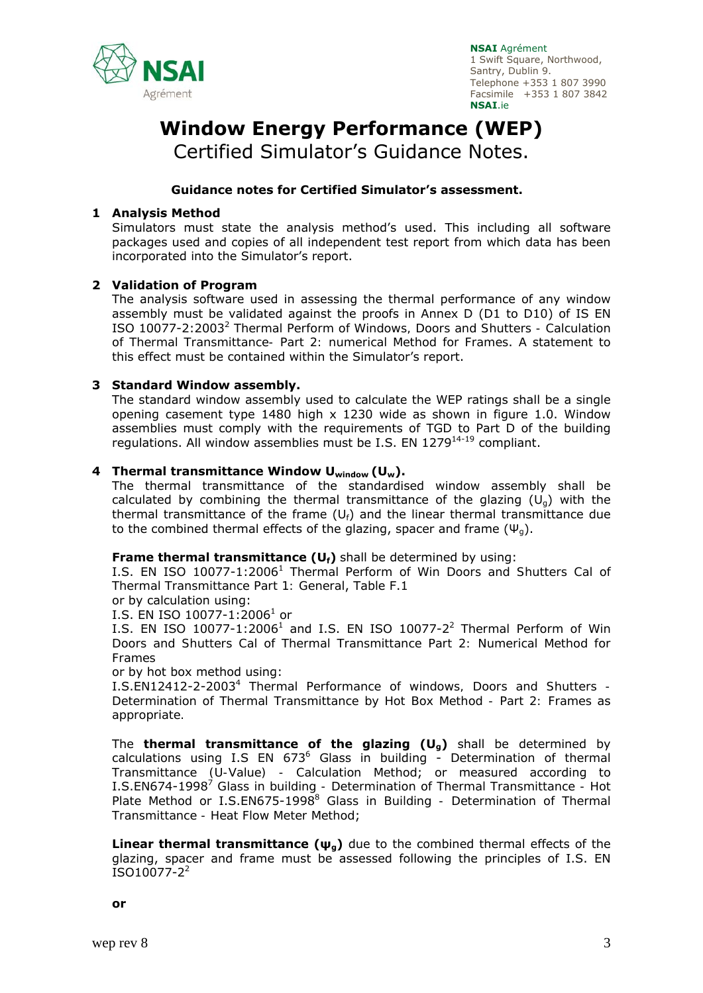

# **Window Energy Performance (WEP)**

Certified Simulator's Guidance Notes.

### **Guidance notes for Certified Simulator's assessment.**

#### **1 Analysis Method**

Simulators must state the analysis method's used. This including all software packages used and copies of all independent test report from which data has been incorporated into the Simulator's report.

#### **2 Validation of Program**

The analysis software used in assessing the thermal performance of any window assembly must be validated against the proofs in Annex D (D1 to D10) of IS EN ISO 10077-2:20032 *Thermal Perform of Windows, Doors and Shutters - Calculation of Thermal Transmittance- Part 2: numerical Method for Frames*. A statement to this effect must be contained within the Simulator's report.

#### **3 Standard Window assembly.**

The standard window assembly used to calculate the WEP ratings shall be a single opening casement type 1480 high x 1230 wide as shown in figure 1.0. Window assemblies must comply with the requirements of TGD to Part D of the building regulations. All window assemblies must be I.S. EN  $1279^{14-19}$  compliant.

## **4 Thermal transmittance Window Uwindow (Uw).**

The thermal transmittance of the standardised window assembly shall be calculated by combining the thermal transmittance of the glazing  $(U_0)$  with the thermal transmittance of the frame  $(U_f)$  and the linear thermal transmittance due to the combined thermal effects of the glazing, spacer and frame  $(\Psi_{q})$ .

#### **Frame thermal transmittance (Uf)** shall be determined by using:

I.S. EN ISO 10077-1:20061 *Thermal Perform of Win Doors and Shutters Cal of Thermal Transmittance Part 1: General*, Table F.1

or by calculation using:

I.S. EN ISO 10077-1:2006<sup>1</sup> or

I.S. EN ISO 10077-1:2006<sup>1</sup> and I.S. EN ISO 10077-2<sup>2</sup> *Thermal Perform of Win Doors and Shutters Cal of Thermal Transmittance Part 2: Numerical Method for Frames* 

or by hot box method using:

I.S.EN12412-2-20034 *Thermal Performance of windows, Doors and Shutters - Determination of Thermal Transmittance by Hot Box Method - Part 2: Frames* as *appropriate.* 

The **thermal transmittance of the glazing (Ug)** shall be determined by calculations using I.S EN 673<sup>6</sup> Glass in building - *Determination of thermal Transmittance (U-Value) - Calculation Method*; or measured according to I.S.EN674-1998<sup>7</sup> Glass in building - Determination of Thermal Transmittance - Hot Plate Method or I.S.EN675-1998<sup>8</sup> Glass in Building - Determination of Thermal *Transmittance - Heat Flow Meter Method*;

**Linear thermal transmittance (ψg)** due to the combined thermal effects of the glazing, spacer and frame must be assessed following the principles of I.S. EN  $ISO10077-2^2$ 

**or**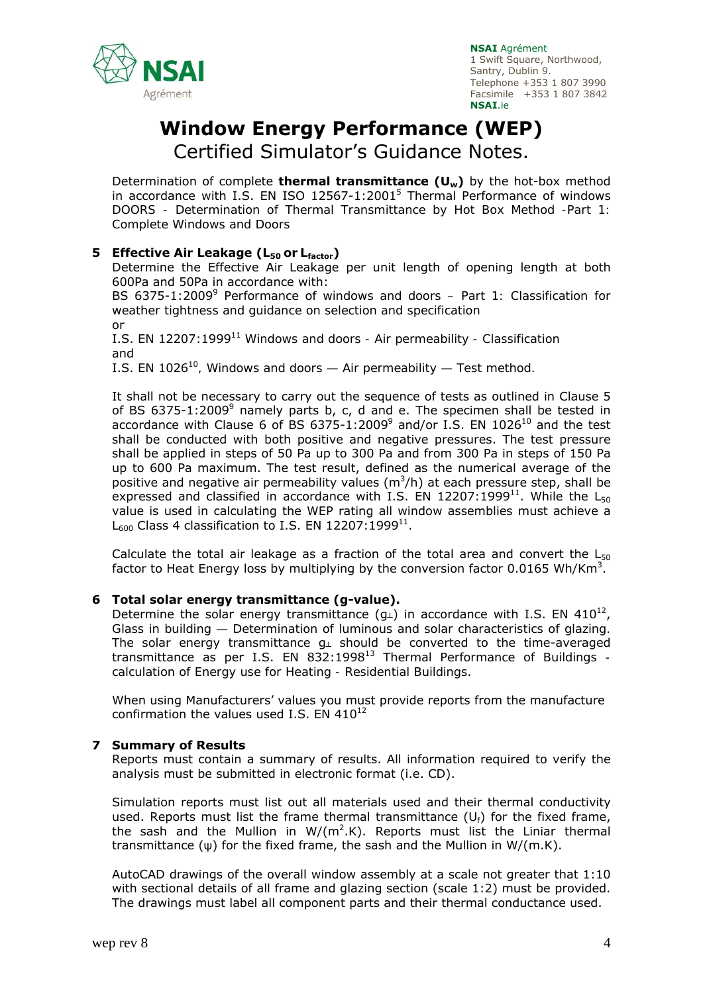

# **Window Energy Performance (WEP)**

Certified Simulator's Guidance Notes.

Determination of complete **thermal transmittance (Uw)** by the hot-box method in accordance with I.S. EN ISO 12567-1:20015 *Thermal Performance of windows DOORS - Determination of Thermal Transmittance by Hot Box Method -Part 1: Complete Windows and Doors*

## **5 Effective Air Leakage (L<sub>50</sub> or L<sub>factor</sub>)**

Determine the Effective Air Leakage per unit length of opening length at both 600Pa and 50Pa in accordance with:

BS 6375-1:2009<sup>9</sup> Performance of windows and doors – Part 1: Classification for *weather tightness and guidance on selection and specification*  or

I.S. EN 12207:199911 *Windows and doors - Air permeability - Classification* and

I.S. EN 1026<sup>10</sup>, Windows and doors — Air permeability — Test method.

It shall not be necessary to carry out the sequence of tests as outlined in Clause 5 of BS 6375-1:2009<sup>9</sup> namely parts b, c, d and e. The specimen shall be tested in accordance with Clause 6 of BS 6375-1:2009<sup>9</sup> and/or I.S. EN 1026<sup>10</sup> and the test shall be conducted with both positive and negative pressures. The test pressure shall be applied in steps of 50 Pa up to 300 Pa and from 300 Pa in steps of 150 Pa up to 600 Pa maximum. The test result, defined as the numerical average of the positive and negative air permeability values ( $m^3/h$ ) at each pressure step, shall be expressed and classified in accordance with I.S. EN 12207:1999<sup>11</sup>. While the L<sub>50</sub> value is used in calculating the WEP rating all window assemblies must achieve a  $L_{600}$  Class 4 classification to I.S. EN 12207:1999<sup>11</sup>.

Calculate the total air leakage as a fraction of the total area and convert the  $L_{50}$ factor to Heat Energy loss by multiplying by the conversion factor 0.0165 Wh/Km<sup>3</sup>.

#### **6 Total solar energy transmittance (g-value).**

Determine the solar energy transmittance  $(q_1)$  in accordance with I.S. EN 410<sup>12</sup>, *Glass in building — Determination of luminous and solar characteristics of glazing.* The solar energy transmittance  $g_{\perp}$  should be converted to the time-averaged transmittance as per I.S. EN 832:199813 T*hermal Performance of Buildings calculation of Energy use for Heating - Residential Buildings*.

When using Manufacturers' values you must provide reports from the manufacture confirmation the values used I.S. EN  $410^{12}$ 

#### **7 Summary of Results**

Reports must contain a summary of results. All information required to verify the analysis must be submitted in electronic format (i.e. CD).

Simulation reports must list out all materials used and their thermal conductivity used. Reports must list the frame thermal transmittance  $(U_f)$  for the fixed frame, the sash and the Mullion in  $W/(m^2.K)$ . Reports must list the Liniar thermal transmittance (ψ) for the fixed frame, the sash and the Mullion in W/(m.K).

AutoCAD drawings of the overall window assembly at a scale not greater that 1:10 with sectional details of all frame and glazing section (scale 1:2) must be provided. The drawings must label all component parts and their thermal conductance used.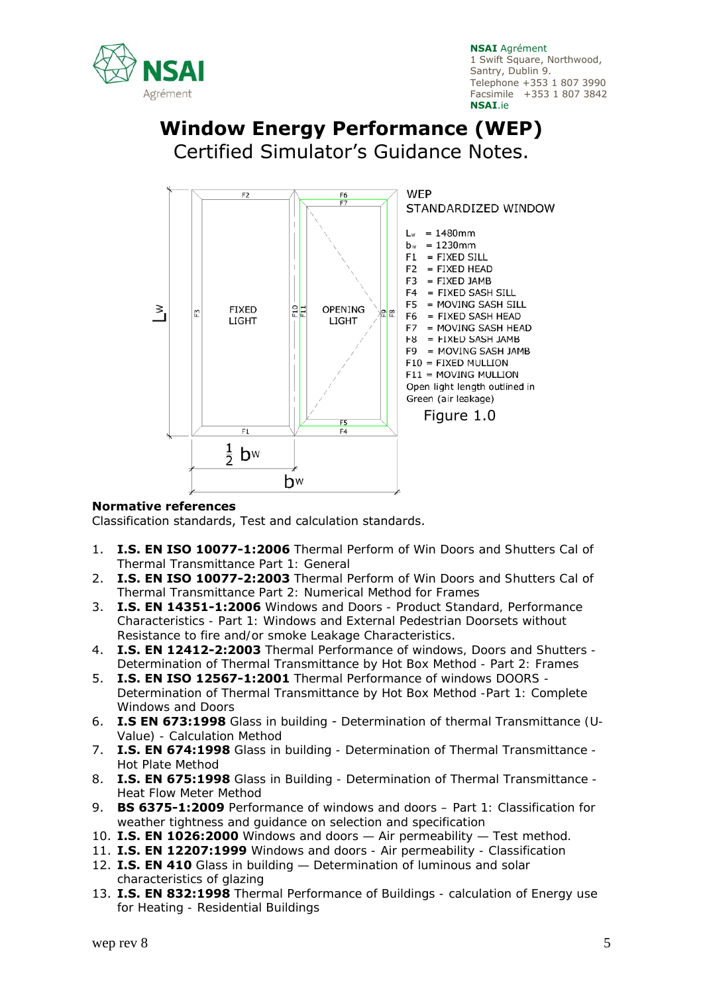

## **Window Energy Performance (WEP)**  Certified Simulator's Guidance Notes.



#### **Normative references**

Classification standards, Test and calculation standards.

- 1. **I.S. EN ISO 10077-1:2006** *Thermal Perform of Win Doors and Shutters Cal of Thermal Transmittance Part 1: General*
- 2. **I.S. EN ISO 10077-2:2003** *Thermal Perform of Win Doors and Shutters Cal of Thermal Transmittance Part 2: Numerical Method for Frames*
- 3. **I.S. EN 14351-1:2006** *Windows and Doors Product Standard, Performance Characteristics - Part 1: Windows and External Pedestrian Doorsets without Resistance to fire and/or smoke Leakage Characteristics*.
- 4. **I.S. EN 12412-2:2003** *Thermal Performance of windows, Doors and Shutters Determination of Thermal Transmittance by Hot Box Method - Part 2: Frames*
- 5. **I.S. EN ISO 12567-1:2001** *Thermal Performance of windows DOORS Determination of Thermal Transmittance by Hot Box Method -Part 1: Complete Windows and Doors*
- 6. **I.S EN 673:1998** *Glass in building Determination of thermal Transmittance (U-Value) - Calculation Method*
- 7. **I.S. EN 674:1998** *Glass in building Determination of Thermal Transmittance Hot Plate Method*
- 8. **I.S. EN 675:1998** *Glass in Building Determination of Thermal Transmittance Heat Flow Meter Method*
- 9. **BS 6375-1:2009** *Performance of windows and doors Part 1: Classification for weather tightness and guidance on selection and specification*
- 10. **I.S. EN 1026:2000** *Windows and doors Air permeability Test method.*
- 11. **I.S. EN 12207:1999** *Windows and doors Air permeability Classification*
- 12. **I.S. EN 410** *Glass in building Determination of luminous and solar characteristics of glazing*
- 13. **I.S. EN 832:1998** *Thermal Performance of Buildings calculation of Energy use for Heating - Residential Buildings*